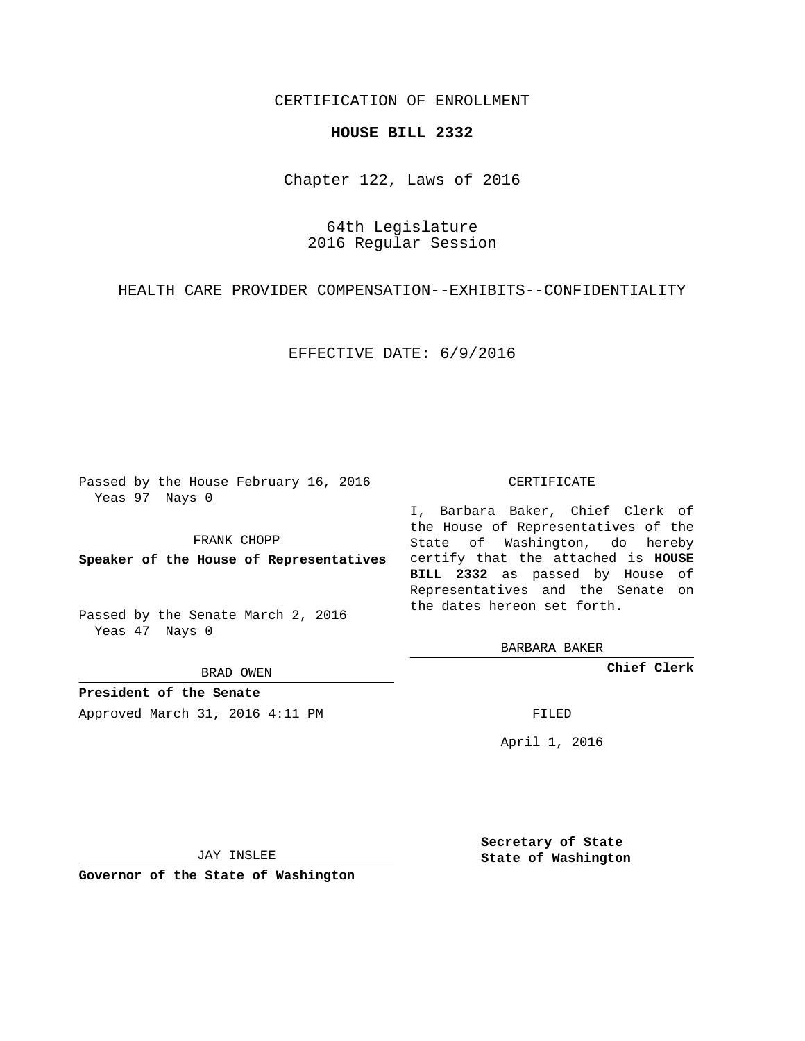# CERTIFICATION OF ENROLLMENT

## **HOUSE BILL 2332**

Chapter 122, Laws of 2016

64th Legislature 2016 Regular Session

HEALTH CARE PROVIDER COMPENSATION--EXHIBITS--CONFIDENTIALITY

### EFFECTIVE DATE: 6/9/2016

Passed by the House February 16, 2016 Yeas 97 Nays 0

FRANK CHOPP

Passed by the Senate March 2, 2016 Yeas 47 Nays 0

BRAD OWEN

**President of the Senate**

Approved March 31, 2016 4:11 PM FILED

#### CERTIFICATE

**Speaker of the House of Representatives** certify that the attached is **HOUSE** I, Barbara Baker, Chief Clerk of the House of Representatives of the State of Washington, do hereby **BILL 2332** as passed by House of Representatives and the Senate on the dates hereon set forth.

BARBARA BAKER

**Chief Clerk**

April 1, 2016

JAY INSLEE

**Governor of the State of Washington**

**Secretary of State State of Washington**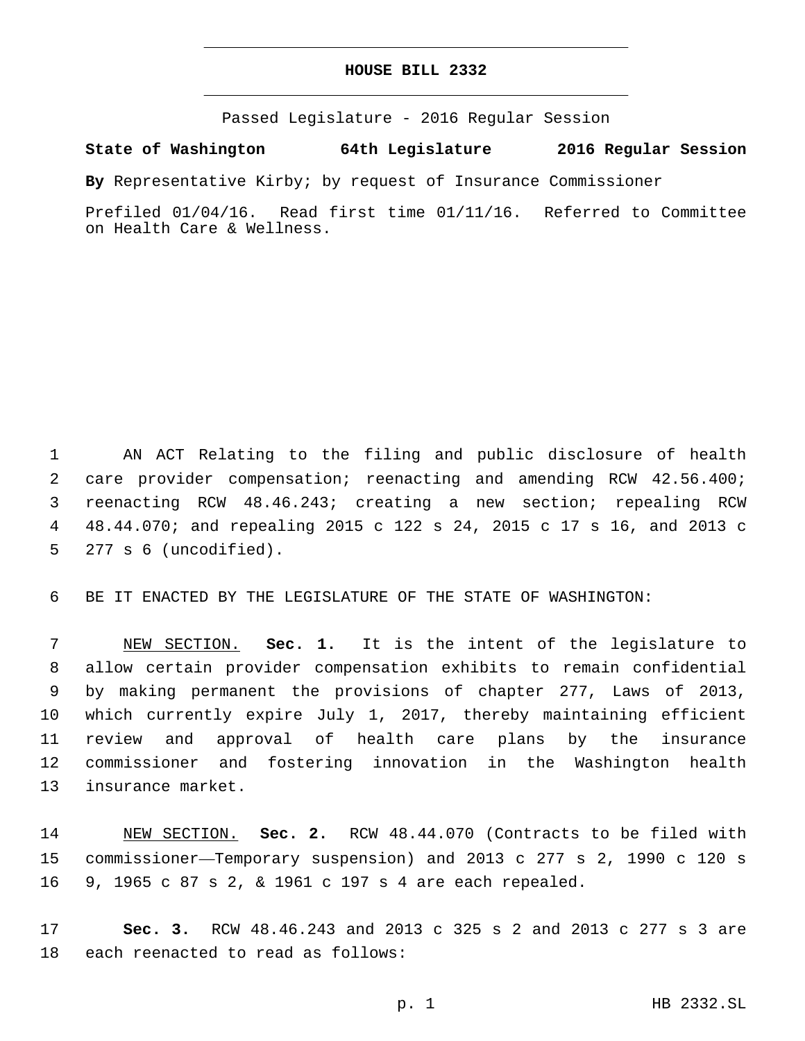# **HOUSE BILL 2332**

Passed Legislature - 2016 Regular Session

**State of Washington 64th Legislature 2016 Regular Session**

**By** Representative Kirby; by request of Insurance Commissioner

Prefiled 01/04/16. Read first time 01/11/16. Referred to Committee on Health Care & Wellness.

 AN ACT Relating to the filing and public disclosure of health care provider compensation; reenacting and amending RCW 42.56.400; reenacting RCW 48.46.243; creating a new section; repealing RCW 48.44.070; and repealing 2015 c 122 s 24, 2015 c 17 s 16, and 2013 c 5 277 s 6 (uncodified).

BE IT ENACTED BY THE LEGISLATURE OF THE STATE OF WASHINGTON:

 NEW SECTION. **Sec. 1.** It is the intent of the legislature to allow certain provider compensation exhibits to remain confidential by making permanent the provisions of chapter 277, Laws of 2013, which currently expire July 1, 2017, thereby maintaining efficient review and approval of health care plans by the insurance commissioner and fostering innovation in the Washington health insurance market.

 NEW SECTION. **Sec. 2.** RCW 48.44.070 (Contracts to be filed with commissioner—Temporary suspension) and 2013 c 277 s 2, 1990 c 120 s 9, 1965 c 87 s 2, & 1961 c 197 s 4 are each repealed.

 **Sec. 3.** RCW 48.46.243 and 2013 c 325 s 2 and 2013 c 277 s 3 are 18 each reenacted to read as follows: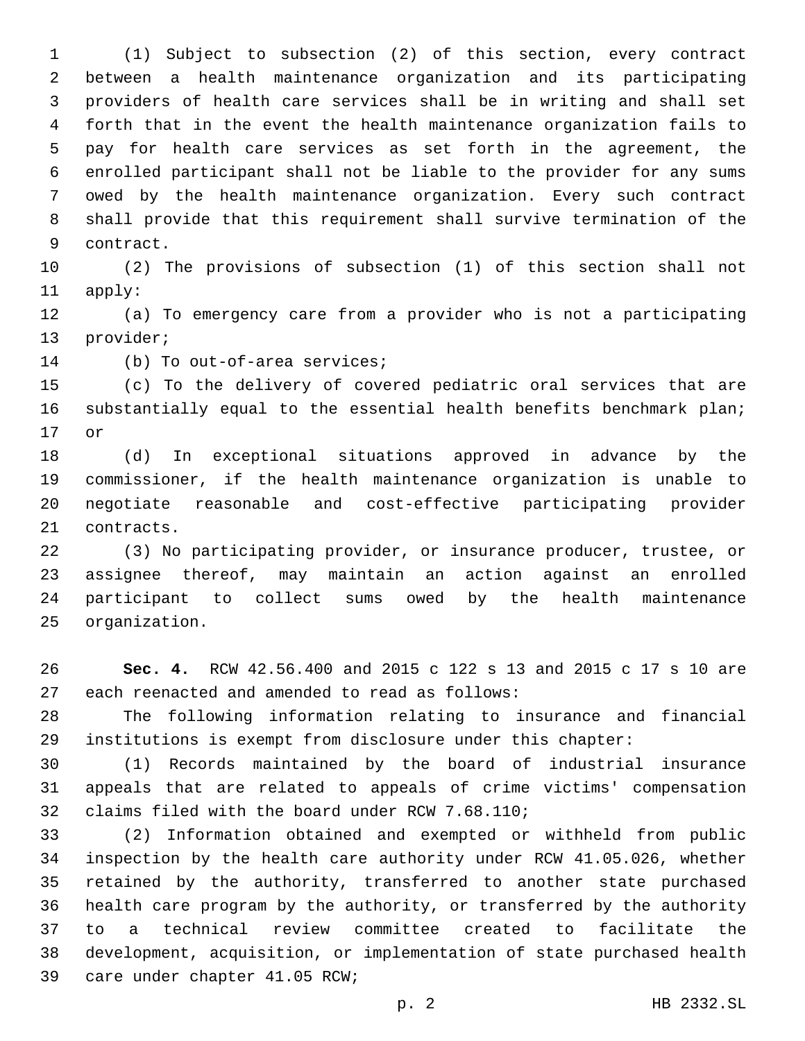(1) Subject to subsection (2) of this section, every contract between a health maintenance organization and its participating providers of health care services shall be in writing and shall set forth that in the event the health maintenance organization fails to pay for health care services as set forth in the agreement, the enrolled participant shall not be liable to the provider for any sums owed by the health maintenance organization. Every such contract shall provide that this requirement shall survive termination of the 9 contract.

 (2) The provisions of subsection (1) of this section shall not 11 apply:

 (a) To emergency care from a provider who is not a participating 13 provider;

14 (b) To out-of-area services;

 (c) To the delivery of covered pediatric oral services that are substantially equal to the essential health benefits benchmark plan; 17 or

 (d) In exceptional situations approved in advance by the commissioner, if the health maintenance organization is unable to negotiate reasonable and cost-effective participating provider 21 contracts.

 (3) No participating provider, or insurance producer, trustee, or assignee thereof, may maintain an action against an enrolled participant to collect sums owed by the health maintenance 25 organization.

 **Sec. 4.** RCW 42.56.400 and 2015 c 122 s 13 and 2015 c 17 s 10 are 27 each reenacted and amended to read as follows:

 The following information relating to insurance and financial institutions is exempt from disclosure under this chapter:

 (1) Records maintained by the board of industrial insurance appeals that are related to appeals of crime victims' compensation 32 claims filed with the board under RCW 7.68.110;

 (2) Information obtained and exempted or withheld from public inspection by the health care authority under RCW 41.05.026, whether retained by the authority, transferred to another state purchased health care program by the authority, or transferred by the authority to a technical review committee created to facilitate the development, acquisition, or implementation of state purchased health 39 care under chapter 41.05 RCW;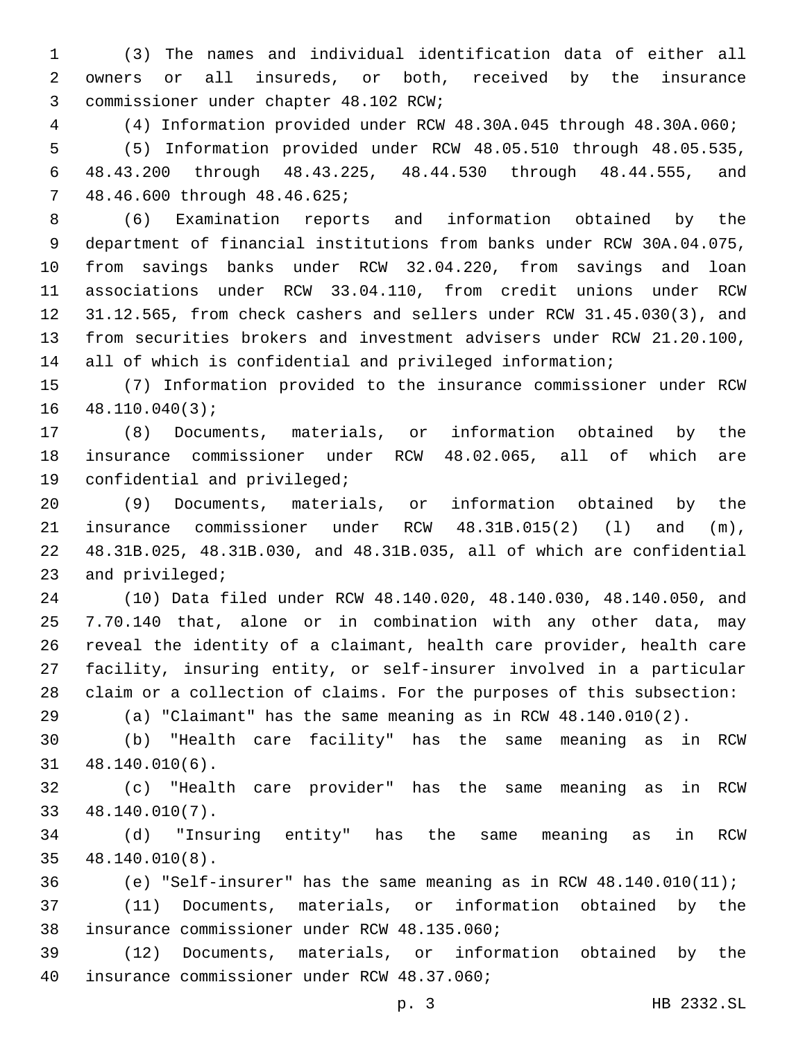(3) The names and individual identification data of either all owners or all insureds, or both, received by the insurance 3 commissioner under chapter 48.102 RCW;

(4) Information provided under RCW 48.30A.045 through 48.30A.060;

 (5) Information provided under RCW 48.05.510 through 48.05.535, 48.43.200 through 48.43.225, 48.44.530 through 48.44.555, and 7 48.46.600 through 48.46.625;

 (6) Examination reports and information obtained by the department of financial institutions from banks under RCW 30A.04.075, from savings banks under RCW 32.04.220, from savings and loan associations under RCW 33.04.110, from credit unions under RCW 31.12.565, from check cashers and sellers under RCW 31.45.030(3), and from securities brokers and investment advisers under RCW 21.20.100, all of which is confidential and privileged information;

 (7) Information provided to the insurance commissioner under RCW 48.110.040(3);

 (8) Documents, materials, or information obtained by the insurance commissioner under RCW 48.02.065, all of which are 19 confidential and privileged;

 (9) Documents, materials, or information obtained by the insurance commissioner under RCW 48.31B.015(2) (l) and (m), 48.31B.025, 48.31B.030, and 48.31B.035, all of which are confidential 23 and privileged;

 (10) Data filed under RCW 48.140.020, 48.140.030, 48.140.050, and 7.70.140 that, alone or in combination with any other data, may reveal the identity of a claimant, health care provider, health care facility, insuring entity, or self-insurer involved in a particular claim or a collection of claims. For the purposes of this subsection:

(a) "Claimant" has the same meaning as in RCW 48.140.010(2).

 (b) "Health care facility" has the same meaning as in RCW 48.140.010(6).31

 (c) "Health care provider" has the same meaning as in RCW 48.140.010(7).33

 (d) "Insuring entity" has the same meaning as in RCW 48.140.010(8).35

(e) "Self-insurer" has the same meaning as in RCW 48.140.010(11);

 (11) Documents, materials, or information obtained by the 38 insurance commissioner under RCW 48.135.060;

 (12) Documents, materials, or information obtained by the insurance commissioner under RCW 48.37.060;40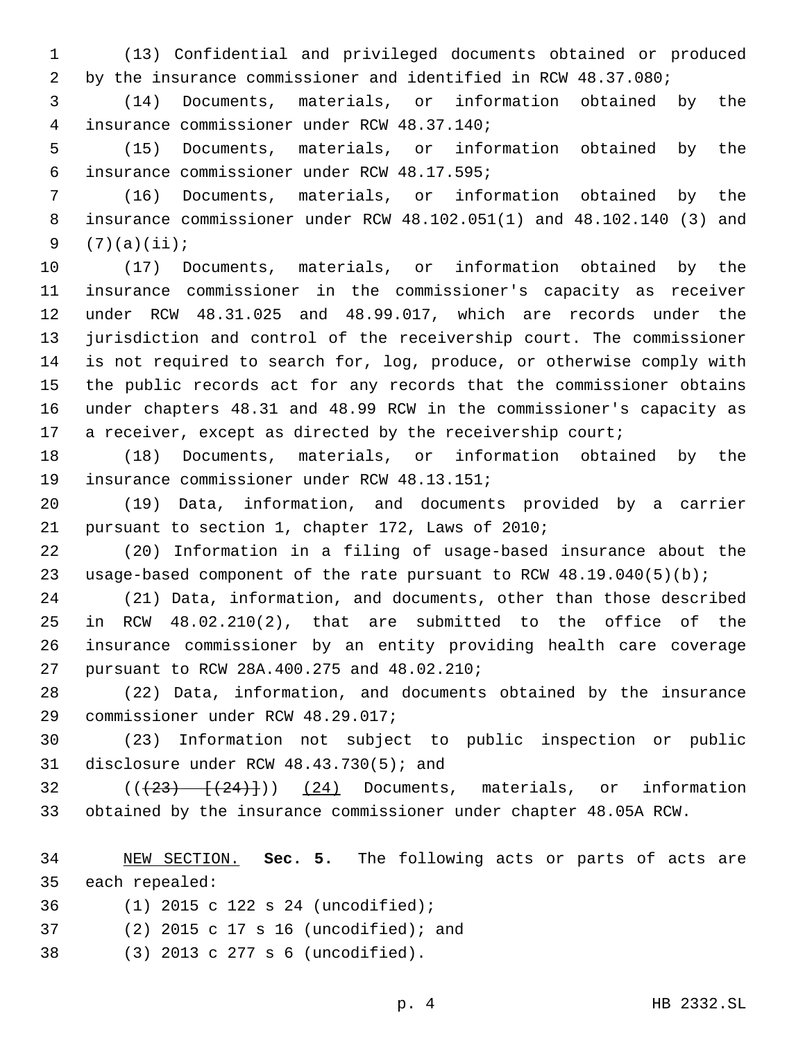(13) Confidential and privileged documents obtained or produced by the insurance commissioner and identified in RCW 48.37.080;

 (14) Documents, materials, or information obtained by the insurance commissioner under RCW 48.37.140;4

 (15) Documents, materials, or information obtained by the insurance commissioner under RCW 48.17.595;6

 (16) Documents, materials, or information obtained by the insurance commissioner under RCW 48.102.051(1) and 48.102.140 (3) and 9  $(7)(a)(ii);$ 

 (17) Documents, materials, or information obtained by the insurance commissioner in the commissioner's capacity as receiver under RCW 48.31.025 and 48.99.017, which are records under the jurisdiction and control of the receivership court. The commissioner is not required to search for, log, produce, or otherwise comply with the public records act for any records that the commissioner obtains under chapters 48.31 and 48.99 RCW in the commissioner's capacity as 17 a receiver, except as directed by the receivership court;

 (18) Documents, materials, or information obtained by the 19 insurance commissioner under RCW 48.13.151;

 (19) Data, information, and documents provided by a carrier 21 pursuant to section 1, chapter 172, Laws of 2010;

 (20) Information in a filing of usage-based insurance about the usage-based component of the rate pursuant to RCW 48.19.040(5)(b);

 (21) Data, information, and documents, other than those described in RCW 48.02.210(2), that are submitted to the office of the insurance commissioner by an entity providing health care coverage 27 pursuant to RCW 28A.400.275 and 48.02.210;

 (22) Data, information, and documents obtained by the insurance 29 commissioner under RCW 48.29.017;

 (23) Information not subject to public inspection or public 31 disclosure under RCW  $48.43.730(5)$ ; and

  $((+23)$   $+(-24)$ ))  $(24)$  Documents, materials, or information obtained by the insurance commissioner under chapter 48.05A RCW.

 NEW SECTION. **Sec. 5.** The following acts or parts of acts are each repealed:

(1) 2015 c 122 s 24 (uncodified);36

(2) 2015 c 17 s 16 (uncodified); and37

(3) 2013 c 277 s 6 (uncodified).38

p. 4 HB 2332.SL